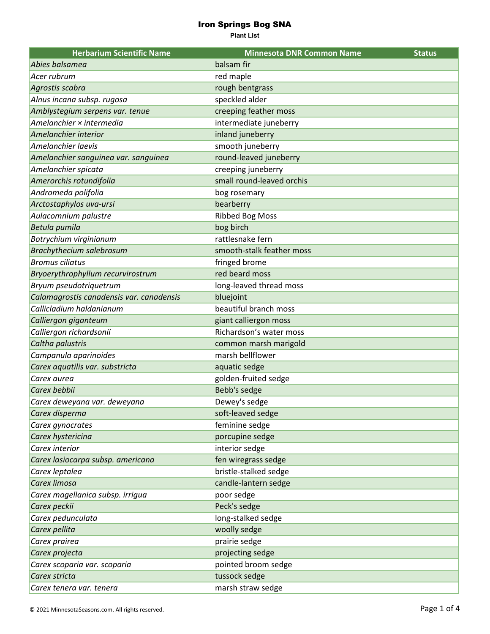**Plant List**

| <b>Herbarium Scientific Name</b>         | <b>Minnesota DNR Common Name</b> | <b>Status</b> |
|------------------------------------------|----------------------------------|---------------|
| Abies balsamea                           | balsam fir                       |               |
| Acer rubrum                              | red maple                        |               |
| Agrostis scabra                          | rough bentgrass                  |               |
| Alnus incana subsp. rugosa               | speckled alder                   |               |
| Amblystegium serpens var. tenue          | creeping feather moss            |               |
| Amelanchier × intermedia                 | intermediate juneberry           |               |
| Amelanchier interior                     | inland juneberry                 |               |
| Amelanchier laevis                       | smooth juneberry                 |               |
| Amelanchier sanguinea var. sanguinea     | round-leaved juneberry           |               |
| Amelanchier spicata                      | creeping juneberry               |               |
| Amerorchis rotundifolia                  | small round-leaved orchis        |               |
| Andromeda polifolia                      | bog rosemary                     |               |
| Arctostaphylos uva-ursi                  | bearberry                        |               |
| Aulacomnium palustre                     | <b>Ribbed Bog Moss</b>           |               |
| Betula pumila                            | bog birch                        |               |
| Botrychium virginianum                   | rattlesnake fern                 |               |
| <b>Brachythecium salebrosum</b>          | smooth-stalk feather moss        |               |
| <b>Bromus ciliatus</b>                   | fringed brome                    |               |
| Bryoerythrophyllum recurvirostrum        | red beard moss                   |               |
| Bryum pseudotriquetrum                   | long-leaved thread moss          |               |
| Calamagrostis canadensis var. canadensis | bluejoint                        |               |
| Callicladium haldanianum                 | beautiful branch moss            |               |
| Calliergon giganteum                     | giant calliergon moss            |               |
| Calliergon richardsonii                  | Richardson's water moss          |               |
| Caltha palustris                         | common marsh marigold            |               |
| Campanula aparinoides                    | marsh bellflower                 |               |
| Carex aquatilis var. substricta          | aquatic sedge                    |               |
| Carex aurea                              | golden-fruited sedge             |               |
| Carex bebbii                             | Bebb's sedge                     |               |
| Carex deweyana var. deweyana             | Dewey's sedge                    |               |
| Carex disperma                           | soft-leaved sedge                |               |
| Carex gynocrates                         | feminine sedge                   |               |
| Carex hystericina                        | porcupine sedge                  |               |
| Carex interior                           | interior sedge                   |               |
| Carex lasiocarpa subsp. americana        | fen wiregrass sedge              |               |
| Carex leptalea                           | bristle-stalked sedge            |               |
| Carex limosa                             | candle-lantern sedge             |               |
| Carex magellanica subsp. irrigua         | poor sedge                       |               |
| Carex peckii                             | Peck's sedge                     |               |
| Carex pedunculata                        | long-stalked sedge               |               |
| Carex pellita                            | woolly sedge                     |               |
| Carex prairea                            | prairie sedge                    |               |
| Carex projecta                           | projecting sedge                 |               |
| Carex scoparia var. scoparia             | pointed broom sedge              |               |
| Carex stricta                            | tussock sedge                    |               |
| Carex tenera var. tenera                 | marsh straw sedge                |               |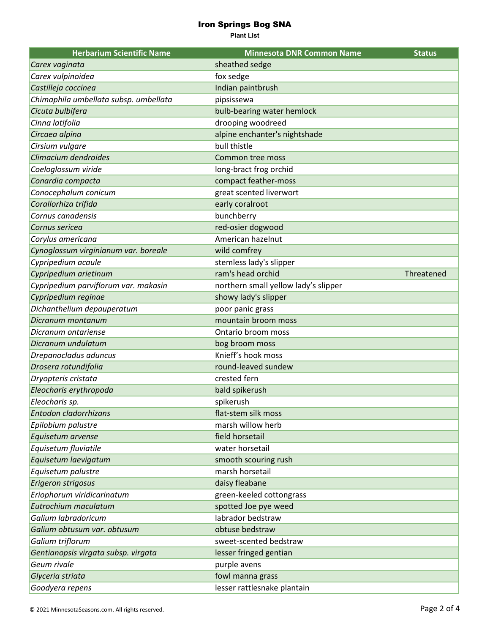**Plant List**

| <b>Herbarium Scientific Name</b>      | <b>Minnesota DNR Common Name</b>     | <b>Status</b> |
|---------------------------------------|--------------------------------------|---------------|
| Carex vaginata                        | sheathed sedge                       |               |
| Carex vulpinoidea                     | fox sedge                            |               |
| Castilleja coccinea                   | Indian paintbrush                    |               |
| Chimaphila umbellata subsp. umbellata | pipsissewa                           |               |
| Cicuta bulbifera                      | bulb-bearing water hemlock           |               |
| Cinna latifolia                       | drooping woodreed                    |               |
| Circaea alpina                        | alpine enchanter's nightshade        |               |
| Cirsium vulgare                       | bull thistle                         |               |
| Climacium dendroides                  | Common tree moss                     |               |
| Coeloglossum viride                   | long-bract frog orchid               |               |
| Conardia compacta                     | compact feather-moss                 |               |
| Conocephalum conicum                  | great scented liverwort              |               |
| Corallorhiza trifida                  | early coralroot                      |               |
| Cornus canadensis                     | bunchberry                           |               |
| Cornus sericea                        | red-osier dogwood                    |               |
| Corylus americana                     | American hazelnut                    |               |
| Cynoglossum virginianum var. boreale  | wild comfrey                         |               |
| Cypripedium acaule                    | stemless lady's slipper              |               |
| Cypripedium arietinum                 | ram's head orchid                    | Threatened    |
| Cypripedium parviflorum var. makasin  | northern small yellow lady's slipper |               |
| Cypripedium reginae                   | showy lady's slipper                 |               |
| Dichanthelium depauperatum            | poor panic grass                     |               |
| Dicranum montanum                     | mountain broom moss                  |               |
| Dicranum ontariense                   | Ontario broom moss                   |               |
| Dicranum undulatum                    | bog broom moss                       |               |
| Drepanocladus aduncus                 | Knieff's hook moss                   |               |
| Drosera rotundifolia                  | round-leaved sundew                  |               |
| Dryopteris cristata                   | crested fern                         |               |
| Eleocharis erythropoda                | bald spikerush                       |               |
| Eleocharis sp.                        | spikerush                            |               |
| Entodon cladorrhizans                 | flat-stem silk moss                  |               |
| Epilobium palustre                    | marsh willow herb                    |               |
| Equisetum arvense                     | field horsetail                      |               |
| Equisetum fluviatile                  | water horsetail                      |               |
| Equisetum laevigatum                  | smooth scouring rush                 |               |
| Equisetum palustre                    | marsh horsetail                      |               |
| Erigeron strigosus                    | daisy fleabane                       |               |
| Eriophorum viridicarinatum            | green-keeled cottongrass             |               |
| Eutrochium maculatum                  | spotted Joe pye weed                 |               |
| Galium labradoricum                   | labrador bedstraw                    |               |
| Galium obtusum var. obtusum           | obtuse bedstraw                      |               |
| Galium triflorum                      | sweet-scented bedstraw               |               |
| Gentianopsis virgata subsp. virgata   | lesser fringed gentian               |               |
| Geum rivale                           | purple avens                         |               |
| Glyceria striata                      | fowl manna grass                     |               |
| Goodyera repens                       | lesser rattlesnake plantain          |               |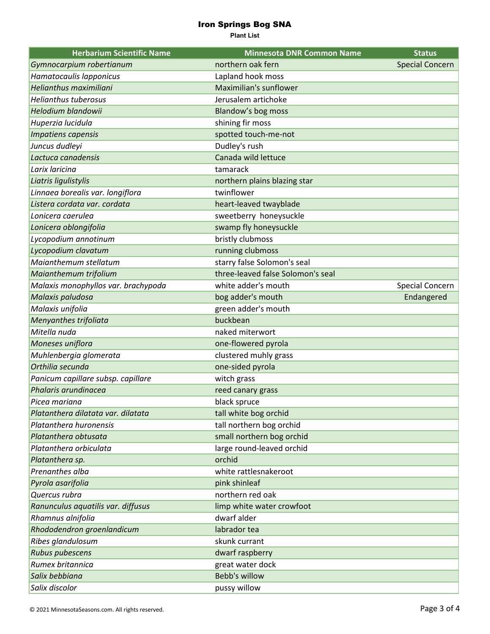**Plant List**

| <b>Herbarium Scientific Name</b>    | <b>Minnesota DNR Common Name</b>  | <b>Status</b>          |
|-------------------------------------|-----------------------------------|------------------------|
| Gymnocarpium robertianum            | northern oak fern                 | <b>Special Concern</b> |
| Hamatocaulis lapponicus             | Lapland hook moss                 |                        |
| Helianthus maximiliani              | Maximilian's sunflower            |                        |
| <b>Helianthus tuberosus</b>         | Jerusalem artichoke               |                        |
| Helodium blandowii                  | Blandow's bog moss                |                        |
| Huperzia lucidula                   | shining fir moss                  |                        |
| Impatiens capensis                  | spotted touch-me-not              |                        |
| Juncus dudleyi                      | Dudley's rush                     |                        |
| Lactuca canadensis                  | Canada wild lettuce               |                        |
| Larix laricina                      | tamarack                          |                        |
| Liatris ligulistylis                | northern plains blazing star      |                        |
| Linnaea borealis var. longiflora    | twinflower                        |                        |
| Listera cordata var. cordata        | heart-leaved twayblade            |                        |
| Lonicera caerulea                   | sweetberry honeysuckle            |                        |
| Lonicera oblongifolia               | swamp fly honeysuckle             |                        |
| Lycopodium annotinum                | bristly clubmoss                  |                        |
| Lycopodium clavatum                 | running clubmoss                  |                        |
| Maianthemum stellatum               | starry false Solomon's seal       |                        |
| Maianthemum trifolium               | three-leaved false Solomon's seal |                        |
| Malaxis monophyllos var. brachypoda | white adder's mouth               | Special Concern        |
| Malaxis paludosa                    | bog adder's mouth                 | Endangered             |
| Malaxis unifolia                    | green adder's mouth               |                        |
| Menyanthes trifoliata               | buckbean                          |                        |
| Mitella nuda                        | naked miterwort                   |                        |
| Moneses uniflora                    | one-flowered pyrola               |                        |
| Muhlenbergia glomerata              | clustered muhly grass             |                        |
| Orthilia secunda                    | one-sided pyrola                  |                        |
| Panicum capillare subsp. capillare  | witch grass                       |                        |
| Phalaris arundinacea                | reed canary grass                 |                        |
| Picea mariana                       | black spruce                      |                        |
| Platanthera dilatata var. dilatata  | tall white bog orchid             |                        |
| Platanthera huronensis              | tall northern bog orchid          |                        |
| Platanthera obtusata                | small northern bog orchid         |                        |
| Platanthera orbiculata              | large round-leaved orchid         |                        |
| Platanthera sp.                     | orchid                            |                        |
| Prenanthes alba                     | white rattlesnakeroot             |                        |
| Pyrola asarifolia                   | pink shinleaf                     |                        |
| Quercus rubra                       | northern red oak                  |                        |
| Ranunculus aquatilis var. diffusus  | limp white water crowfoot         |                        |
| Rhamnus alnifolia                   | dwarf alder                       |                        |
| Rhododendron groenlandicum          | labrador tea                      |                        |
| Ribes glandulosum                   | skunk currant                     |                        |
| <b>Rubus pubescens</b>              | dwarf raspberry                   |                        |
| Rumex britannica                    | great water dock                  |                        |
| Salix bebbiana                      | <b>Bebb's willow</b>              |                        |
| Salix discolor                      | pussy willow                      |                        |